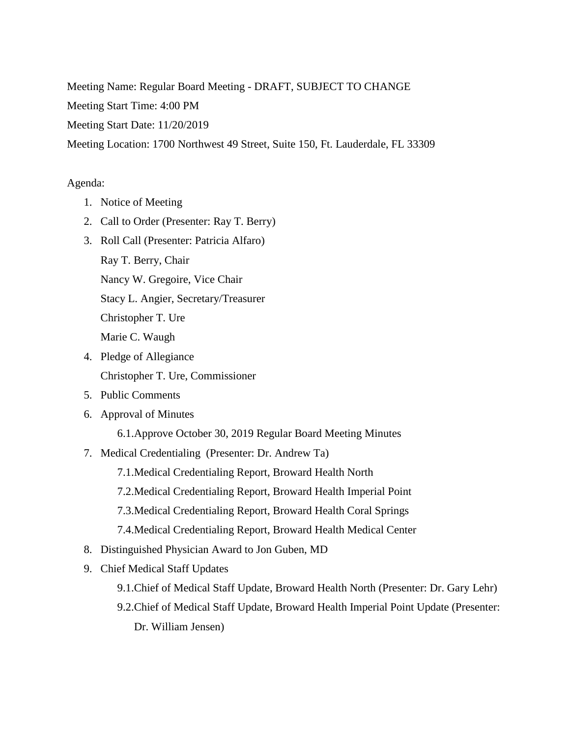Meeting Name: Regular Board Meeting - DRAFT, SUBJECT TO CHANGE

Meeting Start Time: 4:00 PM

Meeting Start Date: 11/20/2019

Meeting Location: 1700 Northwest 49 Street, Suite 150, Ft. Lauderdale, FL 33309

## Agenda:

- 1. Notice of Meeting
- 2. Call to Order (Presenter: Ray T. Berry)
- 3. Roll Call (Presenter: Patricia Alfaro) Ray T. Berry, Chair Nancy W. Gregoire, Vice Chair Stacy L. Angier, Secretary/Treasurer Christopher T. Ure Marie C. Waugh
- 4. Pledge of Allegiance Christopher T. Ure, Commissioner
- 5. Public Comments
- 6. Approval of Minutes

6.1.Approve October 30, 2019 Regular Board Meeting Minutes

7. Medical Credentialing (Presenter: Dr. Andrew Ta)

7.1.Medical Credentialing Report, Broward Health North

7.2.Medical Credentialing Report, Broward Health Imperial Point

- 7.3.Medical Credentialing Report, Broward Health Coral Springs
- 7.4.Medical Credentialing Report, Broward Health Medical Center
- 8. Distinguished Physician Award to Jon Guben, MD
- 9. Chief Medical Staff Updates
	- 9.1.Chief of Medical Staff Update, Broward Health North (Presenter: Dr. Gary Lehr)
	- 9.2.Chief of Medical Staff Update, Broward Health Imperial Point Update (Presenter: Dr. William Jensen)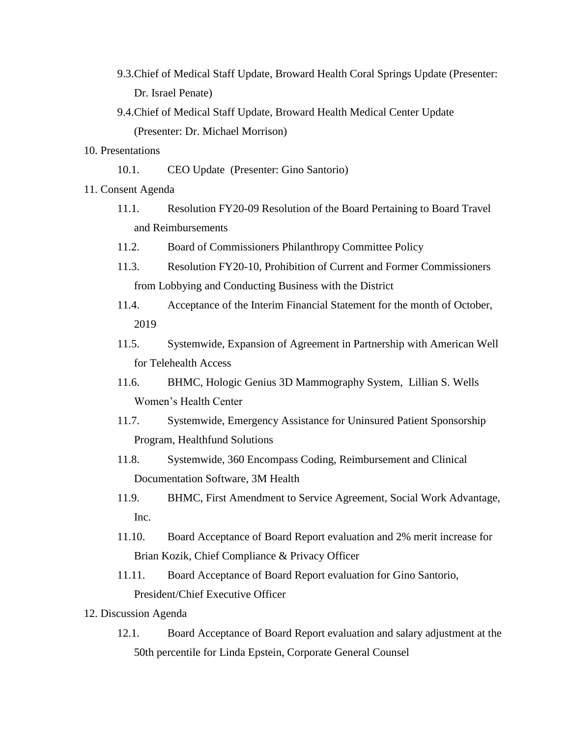- 9.3.Chief of Medical Staff Update, Broward Health Coral Springs Update (Presenter: Dr. Israel Penate)
- 9.4.Chief of Medical Staff Update, Broward Health Medical Center Update (Presenter: Dr. Michael Morrison)
- 10. Presentations
	- 10.1. CEO Update (Presenter: Gino Santorio)
- 11. Consent Agenda
	- 11.1. Resolution FY20-09 Resolution of the Board Pertaining to Board Travel and Reimbursements
	- 11.2. Board of Commissioners Philanthropy Committee Policy
	- 11.3. Resolution FY20-10, Prohibition of Current and Former Commissioners from Lobbying and Conducting Business with the District
	- 11.4. Acceptance of the Interim Financial Statement for the month of October, 2019
	- 11.5. Systemwide, Expansion of Agreement in Partnership with American Well for Telehealth Access
	- 11.6. BHMC, Hologic Genius 3D Mammography System, Lillian S. Wells Women's Health Center
	- 11.7. Systemwide, Emergency Assistance for Uninsured Patient Sponsorship Program, Healthfund Solutions
	- 11.8. Systemwide, 360 Encompass Coding, Reimbursement and Clinical Documentation Software, 3M Health
	- 11.9. BHMC, First Amendment to Service Agreement, Social Work Advantage, Inc.
	- 11.10. Board Acceptance of Board Report evaluation and 2% merit increase for Brian Kozik, Chief Compliance & Privacy Officer
	- 11.11. Board Acceptance of Board Report evaluation for Gino Santorio, President/Chief Executive Officer
- 12. Discussion Agenda
	- 12.1. Board Acceptance of Board Report evaluation and salary adjustment at the 50th percentile for Linda Epstein, Corporate General Counsel